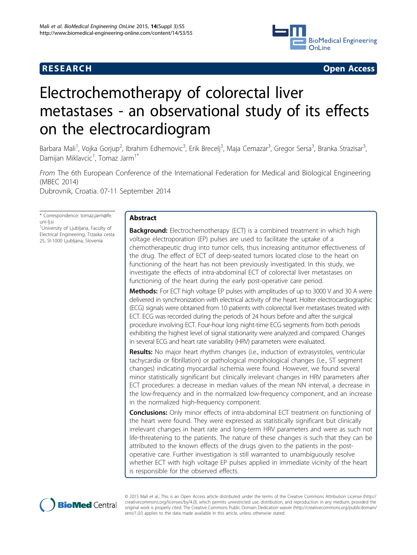

**RESEARCH CONSTRUCTION CONSTRUCTS** 

# Electrochemotherapy of colorectal liver metastases - an observational study of its effects on the electrocardiogram

Barbara Mali<sup>1</sup>, Vojka Gorjup<sup>2</sup>, Ibrahim Edhemovic<sup>3</sup>, Erik Brecelj<sup>3</sup>, Maja Cemazar<sup>3</sup>, Gregor Sersa<sup>3</sup>, Branka Strazisar<sup>3</sup> , Damijan Miklavcic<sup>1</sup>, Tomaz Jarm<sup>1\*</sup>

From The 6th European Conference of the International Federation for Medical and Biological Engineering (MBEC 2014) Dubrovnik, Croatia. 07-11 September 2014

\* Correspondence: [tomaz.jarm@fe.](mailto:tomaz.jarm@fe.uni-lj.si) [uni-lj.si](mailto:tomaz.jarm@fe.uni-lj.si) <sup>1</sup>University of Ljubljana, Faculty of

Electrical Engineering, Trzaska cesta 25, SI-1000 Ljubljana, Slovenia

# Abstract

**Background:** Electrochemotherapy (ECT) is a combined treatment in which high voltage electroporation (EP) pulses are used to facilitate the uptake of a chemotherapeutic drug into tumor cells, thus increasing antitumor effectiveness of the drug. The effect of ECT of deep-seated tumors located close to the heart on functioning of the heart has not been previously investigated. In this study, we investigate the effects of intra-abdominal ECT of colorectal liver metastases on functioning of the heart during the early post-operative care period.

Methods: For ECT high voltage EP pulses with amplitudes of up to 3000 V and 30 A were delivered in synchronization with electrical activity of the heart. Holter electrocardiographic (ECG) signals were obtained from 10 patients with colorectal liver metastases treated with ECT. ECG was recorded during the periods of 24 hours before and after the surgical procedure involving ECT. Four-hour long night-time ECG segments from both periods exhibiting the highest level of signal stationarity were analyzed and compared. Changes in several ECG and heart rate variability (HRV) parameters were evaluated.

Results: No major heart rhythm changes (i.e., induction of extrasystoles, ventricular tachycardia or fibrillation) or pathological morphological changes (i.e., ST segment changes) indicating myocardial ischemia were found. However, we found several minor statistically significant but clinically irrelevant changes in HRV parameters after ECT procedures: a decrease in median values of the mean NN interval, a decrease in the low-frequency and in the normalized low-frequency component, and an increase in the normalized high-frequency component.

**Conclusions:** Only minor effects of intra-abdominal ECT treatment on functioning of the heart were found. They were expressed as statistically significant but clinically irrelevant changes in heart rate and long-term HRV parameters and were as such not life-threatening to the patients. The nature of these changes is such that they can be attributed to the known effects of the drugs given to the patients in the postoperative care. Further investigation is still warranted to unambiguously resolve whether ECT with high voltage EP pulses applied in immediate vicinity of the heart is responsible for the observed effects.



© 2015 Mali et al.; This is an Open Access article distributed under the terms of the Creative Commons Attribution License ([http://](http://creativecommons.org/licenses/by/4.0) [creativecommons.org/licenses/by/4.0](http://creativecommons.org/licenses/by/4.0)), which permits unrestricted use, distribution, and reproduction in any medium, provided the original work is properly cited. The Creative Commons Public Domain Dedication waiver ([http://creativecommons.org/publicdomain/](http://creativecommons.org/publicdomain/zero/1.0/) [zero/1.0/](http://creativecommons.org/publicdomain/zero/1.0/)) applies to the data made available in this article, unless otherwise stated.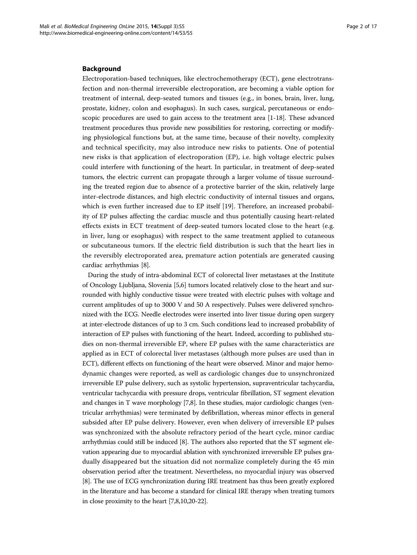# Background

Electroporation-based techniques, like electrochemotherapy (ECT), gene electrotransfection and non-thermal irreversible electroporation, are becoming a viable option for treatment of internal, deep-seated tumors and tissues (e.g., in bones, brain, liver, lung, prostate, kidney, colon and esophagus). In such cases, surgical, percutaneous or endoscopic procedures are used to gain access to the treatment area [[1-18\]](#page-14-0). These advanced treatment procedures thus provide new possibilities for restoring, correcting or modifying physiological functions but, at the same time, because of their novelty, complexity and technical specificity, may also introduce new risks to patients. One of potential new risks is that application of electroporation (EP), i.e. high voltage electric pulses could interfere with functioning of the heart. In particular, in treatment of deep-seated tumors, the electric current can propagate through a larger volume of tissue surrounding the treated region due to absence of a protective barrier of the skin, relatively large inter-electrode distances, and high electric conductivity of internal tissues and organs, which is even further increased due to EP itself [[19\]](#page-14-0). Therefore, an increased probability of EP pulses affecting the cardiac muscle and thus potentially causing heart-related effects exists in ECT treatment of deep-seated tumors located close to the heart (e.g. in liver, lung or esophagus) with respect to the same treatment applied to cutaneous or subcutaneous tumors. If the electric field distribution is such that the heart lies in the reversibly electroporated area, premature action potentials are generated causing cardiac arrhythmias [[8\]](#page-14-0).

During the study of intra-abdominal ECT of colorectal liver metastases at the Institute of Oncology Ljubljana, Slovenia [\[5,6](#page-14-0)] tumors located relatively close to the heart and surrounded with highly conductive tissue were treated with electric pulses with voltage and current amplitudes of up to 3000 V and 50 A respectively. Pulses were delivered synchronized with the ECG. Needle electrodes were inserted into liver tissue during open surgery at inter-electrode distances of up to 3 cm. Such conditions lead to increased probability of interaction of EP pulses with functioning of the heart. Indeed, according to published studies on non-thermal irreversible EP, where EP pulses with the same characteristics are applied as in ECT of colorectal liver metastases (although more pulses are used than in ECT), different effects on functioning of the heart were observed. Minor and major hemodynamic changes were reported, as well as cardiologic changes due to unsynchronized irreversible EP pulse delivery, such as systolic hypertension, supraventricular tachycardia, ventricular tachycardia with pressure drops, ventricular fibrillation, ST segment elevation and changes in T wave morphology [\[7,8\]](#page-14-0). In these studies, major cardiologic changes (ventricular arrhythmias) were terminated by defibrillation, whereas minor effects in general subsided after EP pulse delivery. However, even when delivery of irreversible EP pulses was synchronized with the absolute refractory period of the heart cycle, minor cardiac arrhythmias could still be induced [[8](#page-14-0)]. The authors also reported that the ST segment elevation appearing due to myocardial ablation with synchronized irreversible EP pulses gradually disappeared but the situation did not normalize completely during the 45 min observation period after the treatment. Nevertheless, no myocardial injury was observed [[8\]](#page-14-0). The use of ECG synchronization during IRE treatment has thus been greatly explored in the literature and has become a standard for clinical IRE therapy when treating tumors in close proximity to the heart [\[7,8,10,20](#page-14-0)[-22\]](#page-15-0).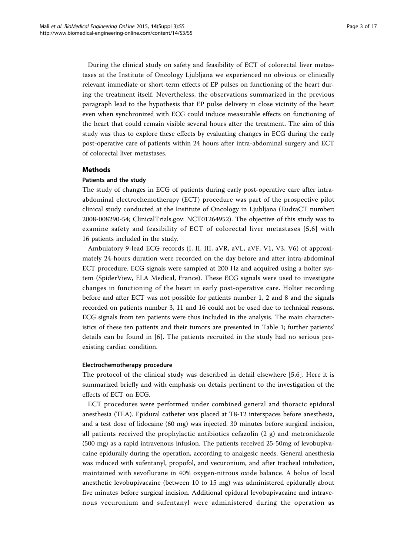During the clinical study on safety and feasibility of ECT of colorectal liver metastases at the Institute of Oncology Ljubljana we experienced no obvious or clinically relevant immediate or short-term effects of EP pulses on functioning of the heart during the treatment itself. Nevertheless, the observations summarized in the previous paragraph lead to the hypothesis that EP pulse delivery in close vicinity of the heart even when synchronized with ECG could induce measurable effects on functioning of the heart that could remain visible several hours after the treatment. The aim of this study was thus to explore these effects by evaluating changes in ECG during the early post-operative care of patients within 24 hours after intra-abdominal surgery and ECT of colorectal liver metastases.

# Methods

# Patients and the study

The study of changes in ECG of patients during early post-operative care after intraabdominal electrochemotherapy (ECT) procedure was part of the prospective pilot clinical study conducted at the Institute of Oncology in Ljubljana (EudraCT number: 2008-008290-54; [ClinicalTrials.gov:](ClinicalTrials.gov) NCT01264952). The objective of this study was to examine safety and feasibility of ECT of colorectal liver metastases [[5](#page-14-0),[6](#page-14-0)] with 16 patients included in the study.

Ambulatory 9-lead ECG records (I, II, III, aVR, aVL, aVF, V1, V3, V6) of approximately 24-hours duration were recorded on the day before and after intra-abdominal ECT procedure. ECG signals were sampled at 200 Hz and acquired using a holter system (SpiderView, ELA Medical, France). These ECG signals were used to investigate changes in functioning of the heart in early post-operative care. Holter recording before and after ECT was not possible for patients number 1, 2 and 8 and the signals recorded on patients number 3, 11 and 16 could not be used due to technical reasons. ECG signals from ten patients were thus included in the analysis. The main characteristics of these ten patients and their tumors are presented in Table [1;](#page-3-0) further patients' details can be found in [[6](#page-14-0)]. The patients recruited in the study had no serious preexisting cardiac condition.

# Electrochemotherapy procedure

The protocol of the clinical study was described in detail elsewhere [[5,6](#page-14-0)]. Here it is summarized briefly and with emphasis on details pertinent to the investigation of the effects of ECT on ECG.

ECT procedures were performed under combined general and thoracic epidural anesthesia (TEA). Epidural catheter was placed at T8-12 interspaces before anesthesia, and a test dose of lidocaine (60 mg) was injected. 30 minutes before surgical incision, all patients received the prophylactic antibiotics cefazolin  $(2 g)$  and metronidazole (500 mg) as a rapid intravenous infusion. The patients received 25-50mg of levobupivacaine epidurally during the operation, according to analgesic needs. General anesthesia was induced with sufentanyl, propofol, and vecuronium, and after tracheal intubation, maintained with sevoflurane in 40% oxygen-nitrous oxide balance. A bolus of local anesthetic levobupivacaine (between 10 to 15 mg) was administered epidurally about five minutes before surgical incision. Additional epidural levobupivacaine and intravenous vecuronium and sufentanyl were administered during the operation as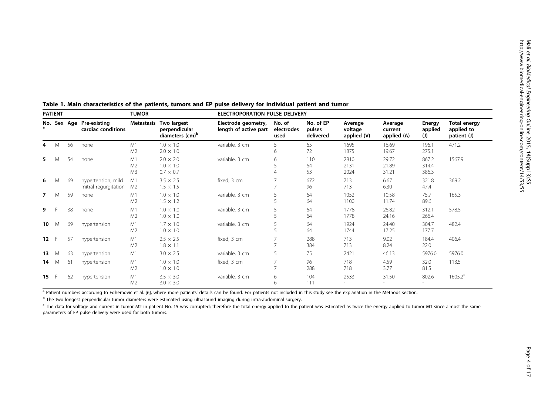Mali et al.

| <b>PATIENT</b> |   |    |                                                | <b>TUMOR</b>               |                                                             | ELECTROPORATION PULSE DELIVERY               |                              |                                  |                                   |                                   |                          |                                                  |
|----------------|---|----|------------------------------------------------|----------------------------|-------------------------------------------------------------|----------------------------------------------|------------------------------|----------------------------------|-----------------------------------|-----------------------------------|--------------------------|--------------------------------------------------|
|                |   |    | No. Sex Age Pre-existing<br>cardiac conditions | Metastasis                 | Two largest<br>perpendicular<br>diameters (cm) <sup>b</sup> | Electrode geometry,<br>length of active part | No. of<br>electrodes<br>used | No. of EP<br>pulses<br>delivered | Average<br>voltage<br>applied (V) | Average<br>current<br>applied (A) | Energy<br>applied<br>(J) | <b>Total energy</b><br>applied to<br>patient (J) |
| 4              | M | 56 | none                                           | M1<br>M <sub>2</sub>       | $1.0 \times 1.0$<br>$2.0 \times 1.0$                        | variable, 3 cm                               | 5<br>6                       | 65<br>72                         | 1695<br>1875                      | 16.69<br>19.67                    | 196.1<br>275.1           | 471.2                                            |
| 5.             | M | 54 | none                                           | M1<br>M <sub>2</sub><br>M3 | $2.0 \times 2.0$<br>$1.0 \times 1.0$<br>$0.7 \times 0.7$    | variable, 3 cm                               | 6                            | 110<br>64<br>53                  | 2810<br>2131<br>2024              | 29.72<br>21.89<br>31.21           | 867.2<br>314.4<br>386.3  | 1567.9                                           |
| 6              | M | 69 | hypertension, mild<br>mitral regurgitation     | M1<br>M <sub>2</sub>       | $3.5 \times 2.5$<br>$1.5 \times 1.5$                        | fixed, 3 cm                                  | $\overline{7}$               | 672<br>96                        | 713<br>713                        | 6.67<br>6.30                      | 321.8<br>47.4            | 369.2                                            |
| $\overline{7}$ | M | 59 | none                                           | M1<br>M <sub>2</sub>       | $1.0 \times 1.0$<br>$1.5 \times 1.2$                        | variable, 3 cm                               | 5                            | 64<br>64                         | 1052<br>1100                      | 10.58<br>11.74                    | 75.7<br>89.6             | 165.3                                            |
| 9              |   | 38 | none                                           | M1<br>M <sub>2</sub>       | $1.0 \times 1.0$<br>$1.0 \times 1.0$                        | variable, 3 cm                               |                              | 64<br>64                         | 1778<br>1778                      | 26.82<br>24.16                    | 312.1<br>266.4           | 578.5                                            |
| 10             | M | 69 | hypertension                                   | M1<br>M <sub>2</sub>       | $1.7 \times 1.0$<br>$1.0 \times 1.0$                        | variable, 3 cm                               |                              | 64<br>64                         | 1924<br>1744                      | 24.40<br>17.25                    | 304.7<br>177.7           | 482.4                                            |
| 12             | F | 57 | hypertension                                   | M1<br>M <sub>2</sub>       | $2.5 \times 2.5$<br>$1.8 \times 1.1$                        | fixed, 3 cm                                  |                              | 288<br>384                       | 713<br>713                        | 9.02<br>8.24                      | 184.4<br>22.0            | 406.4                                            |
| 13             | M | 63 | hypertension                                   | M1                         | $3.0 \times 2.5$                                            | variable, 3 cm                               | 5                            | 75                               | 2421                              | 46.13                             | 5976.0                   | 5976.0                                           |
| 14             | M | 61 | hypertension                                   | M1<br>M <sub>2</sub>       | $1.0 \times 1.0$<br>$1.0 \times 1.0$                        | fixed, 3 cm                                  |                              | 96<br>288                        | 718<br>718                        | 4.59<br>3.77                      | 32.0<br>81.5             | 113.5                                            |
| 15             |   | 62 | hypertension                                   | M1<br>M <sub>2</sub>       | $3.5 \times 3.0$<br>$3.0 \times 3.0$                        | variable, 3 cm                               | 6<br>6                       | 104<br>111                       | 2533                              | 31.50                             | 802.6                    | $1605.2^c$                                       |

<span id="page-3-0"></span>

| Table 1. Main characteristics of the patients, tumors and EP pulse delivery for individual patient and tumor |  |  |  |  |
|--------------------------------------------------------------------------------------------------------------|--|--|--|--|
|--------------------------------------------------------------------------------------------------------------|--|--|--|--|

a Patient numbers according to Edhemovic et al. [\[6\]](#page-14-0), where more patients' details can be found. For patients not included in this study see the explanation in the Methods section.

<sup>b</sup> The two longest perpendicular tumor diameters were estimated using ultrasound imaging during intra-abdominal surgery.

<sup>c</sup> The data for voltage and current in tumor M2 in patient No. 15 was corrupted; therefore the total energy applied to the patient was estimated as twice the energy applied to tumor M1 since almost the same parameters of EP pulse delivery were used for both tumors.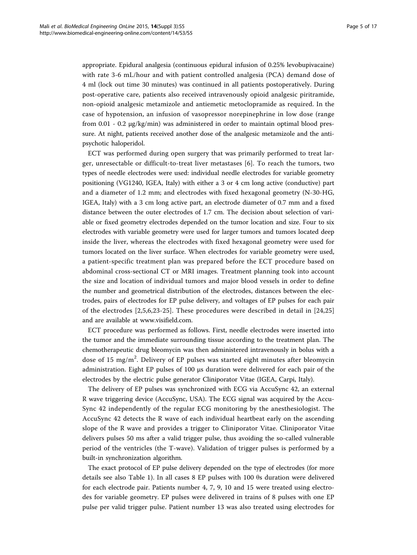appropriate. Epidural analgesia (continuous epidural infusion of 0.25% levobupivacaine) with rate 3-6 mL/hour and with patient controlled analgesia (PCA) demand dose of 4 ml (lock out time 30 minutes) was continued in all patients postoperatively. During post-operative care, patients also received intravenously opioid analgesic piritramide, non-opioid analgesic metamizole and antiemetic metoclopramide as required. In the case of hypotension, an infusion of vasopressor norepinephrine in low dose (range from  $0.01$  -  $0.2 \mu g/kg/min$ ) was administered in order to maintain optimal blood pressure. At night, patients received another dose of the analgesic metamizole and the antipsychotic haloperidol.

ECT was performed during open surgery that was primarily performed to treat larger, unresectable or difficult-to-treat liver metastases [[6\]](#page-14-0). To reach the tumors, two types of needle electrodes were used: individual needle electrodes for variable geometry positioning (VG1240, IGEA, Italy) with either a 3 or 4 cm long active (conductive) part and a diameter of 1.2 mm; and electrodes with fixed hexagonal geometry (N-30-HG, IGEA, Italy) with a 3 cm long active part, an electrode diameter of 0.7 mm and a fixed distance between the outer electrodes of 1.7 cm. The decision about selection of variable or fixed geometry electrodes depended on the tumor location and size. Four to six electrodes with variable geometry were used for larger tumors and tumors located deep inside the liver, whereas the electrodes with fixed hexagonal geometry were used for tumors located on the liver surface. When electrodes for variable geometry were used, a patient-specific treatment plan was prepared before the ECT procedure based on abdominal cross-sectional CT or MRI images. Treatment planning took into account the size and location of individual tumors and major blood vessels in order to define the number and geometrical distribution of the electrodes, distances between the electrodes, pairs of electrodes for EP pulse delivery, and voltages of EP pulses for each pair of the electrodes [[2,5,6](#page-14-0)[,23](#page-15-0)-[25](#page-15-0)]. These procedures were described in detail in [[24,25](#page-15-0)] and are available at [www.visifield.com](http://www.ncbi.nlm.nih.gov/pubmed/25684630?dopt=Abstract).

ECT procedure was performed as follows. First, needle electrodes were inserted into the tumor and the immediate surrounding tissue according to the treatment plan. The chemotherapeutic drug bleomycin was then administered intravenously in bolus with a dose of 15 mg/m<sup>2</sup>. Delivery of EP pulses was started eight minutes after bleomycin administration. Eight EP pulses of 100 μs duration were delivered for each pair of the electrodes by the electric pulse generator Cliniporator Vitae (IGEA, Carpi, Italy).

The delivery of EP pulses was synchronized with ECG via AccuSync 42, an external R wave triggering device (AccuSync, USA). The ECG signal was acquired by the Accu-Sync 42 independently of the regular ECG monitoring by the anesthesiologist. The AccuSync 42 detects the R wave of each individual heartbeat early on the ascending slope of the R wave and provides a trigger to Cliniporator Vitae. Cliniporator Vitae delivers pulses 50 ms after a valid trigger pulse, thus avoiding the so-called vulnerable period of the ventricles (the T-wave). Validation of trigger pulses is performed by a built-in synchronization algorithm.

The exact protocol of EP pulse delivery depended on the type of electrodes (for more details see also Table [1](#page-3-0)). In all cases 8 EP pulses with 100 θs duration were delivered for each electrode pair. Patients number 4, 7, 9, 10 and 15 were treated using electrodes for variable geometry. EP pulses were delivered in trains of 8 pulses with one EP pulse per valid trigger pulse. Patient number 13 was also treated using electrodes for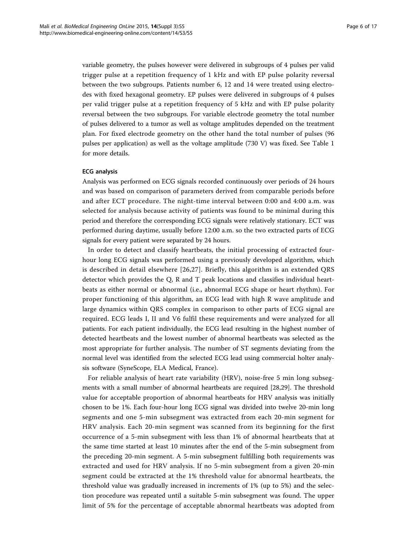variable geometry, the pulses however were delivered in subgroups of 4 pulses per valid trigger pulse at a repetition frequency of 1 kHz and with EP pulse polarity reversal between the two subgroups. Patients number 6, 12 and 14 were treated using electrodes with fixed hexagonal geometry. EP pulses were delivered in subgroups of 4 pulses per valid trigger pulse at a repetition frequency of 5 kHz and with EP pulse polarity reversal between the two subgroups. For variable electrode geometry the total number of pulses delivered to a tumor as well as voltage amplitudes depended on the treatment plan. For fixed electrode geometry on the other hand the total number of pulses (96 pulses per application) as well as the voltage amplitude (730 V) was fixed. See Table [1](#page-3-0) for more details.

# ECG analysis

Analysis was performed on ECG signals recorded continuously over periods of 24 hours and was based on comparison of parameters derived from comparable periods before and after ECT procedure. The night-time interval between 0:00 and 4:00 a.m. was selected for analysis because activity of patients was found to be minimal during this period and therefore the corresponding ECG signals were relatively stationary. ECT was performed during daytime, usually before 12:00 a.m. so the two extracted parts of ECG signals for every patient were separated by 24 hours.

In order to detect and classify heartbeats, the initial processing of extracted fourhour long ECG signals was performed using a previously developed algorithm, which is described in detail elsewhere [[26,27\]](#page-15-0). Briefly, this algorithm is an extended QRS detector which provides the Q, R and T peak locations and classifies individual heartbeats as either normal or abnormal (i.e., abnormal ECG shape or heart rhythm). For proper functioning of this algorithm, an ECG lead with high R wave amplitude and large dynamics within QRS complex in comparison to other parts of ECG signal are required. ECG leads I, II and V6 fulfil these requirements and were analyzed for all patients. For each patient individually, the ECG lead resulting in the highest number of detected heartbeats and the lowest number of abnormal heartbeats was selected as the most appropriate for further analysis. The number of ST segments deviating from the normal level was identified from the selected ECG lead using commercial holter analysis software (SyneScope, ELA Medical, France).

For reliable analysis of heart rate variability (HRV), noise-free 5 min long subsegments with a small number of abnormal heartbeats are required [\[28,29](#page-15-0)]. The threshold value for acceptable proportion of abnormal heartbeats for HRV analysis was initially chosen to be 1%. Each four-hour long ECG signal was divided into twelve 20-min long segments and one 5-min subsegment was extracted from each 20-min segment for HRV analysis. Each 20-min segment was scanned from its beginning for the first occurrence of a 5-min subsegment with less than 1% of abnormal heartbeats that at the same time started at least 10 minutes after the end of the 5-min subsegment from the preceding 20-min segment. A 5-min subsegment fulfilling both requirements was extracted and used for HRV analysis. If no 5-min subsegment from a given 20-min segment could be extracted at the 1% threshold value for abnormal heartbeats, the threshold value was gradually increased in increments of 1% (up to 5%) and the selection procedure was repeated until a suitable 5-min subsegment was found. The upper limit of 5% for the percentage of acceptable abnormal heartbeats was adopted from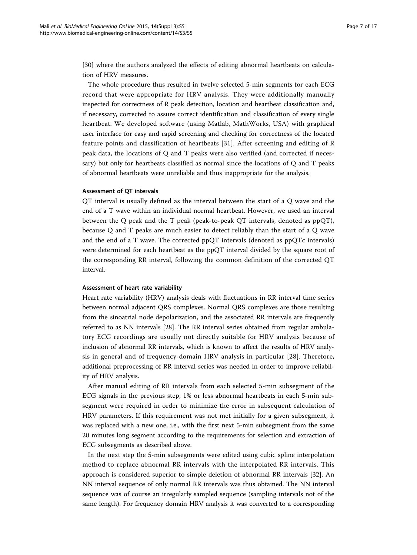[[30\]](#page-15-0) where the authors analyzed the effects of editing abnormal heartbeats on calculation of HRV measures.

The whole procedure thus resulted in twelve selected 5-min segments for each ECG record that were appropriate for HRV analysis. They were additionally manually inspected for correctness of R peak detection, location and heartbeat classification and, if necessary, corrected to assure correct identification and classification of every single heartbeat. We developed software (using Matlab, MathWorks, USA) with graphical user interface for easy and rapid screening and checking for correctness of the located feature points and classification of heartbeats [[31\]](#page-15-0). After screening and editing of R peak data, the locations of Q and T peaks were also verified (and corrected if necessary) but only for heartbeats classified as normal since the locations of Q and T peaks of abnormal heartbeats were unreliable and thus inappropriate for the analysis.

# Assessment of QT intervals

QT interval is usually defined as the interval between the start of a Q wave and the end of a T wave within an individual normal heartbeat. However, we used an interval between the Q peak and the T peak (peak-to-peak QT intervals, denoted as ppQT), because Q and T peaks are much easier to detect reliably than the start of a Q wave and the end of a T wave. The corrected ppQT intervals (denoted as ppQTc intervals) were determined for each heartbeat as the ppQT interval divided by the square root of the corresponding RR interval, following the common definition of the corrected QT interval.

# Assessment of heart rate variability

Heart rate variability (HRV) analysis deals with fluctuations in RR interval time series between normal adjacent QRS complexes. Normal QRS complexes are those resulting from the sinoatrial node depolarization, and the associated RR intervals are frequently referred to as NN intervals [[28\]](#page-15-0). The RR interval series obtained from regular ambulatory ECG recordings are usually not directly suitable for HRV analysis because of inclusion of abnormal RR intervals, which is known to affect the results of HRV analysis in general and of frequency-domain HRV analysis in particular [\[28\]](#page-15-0). Therefore, additional preprocessing of RR interval series was needed in order to improve reliability of HRV analysis.

After manual editing of RR intervals from each selected 5-min subsegment of the ECG signals in the previous step, 1% or less abnormal heartbeats in each 5-min subsegment were required in order to minimize the error in subsequent calculation of HRV parameters. If this requirement was not met initially for a given subsegment, it was replaced with a new one, i.e., with the first next 5-min subsegment from the same 20 minutes long segment according to the requirements for selection and extraction of ECG subsegments as described above.

In the next step the 5-min subsegments were edited using cubic spline interpolation method to replace abnormal RR intervals with the interpolated RR intervals. This approach is considered superior to simple deletion of abnormal RR intervals [\[32](#page-15-0)]. An NN interval sequence of only normal RR intervals was thus obtained. The NN interval sequence was of course an irregularly sampled sequence (sampling intervals not of the same length). For frequency domain HRV analysis it was converted to a corresponding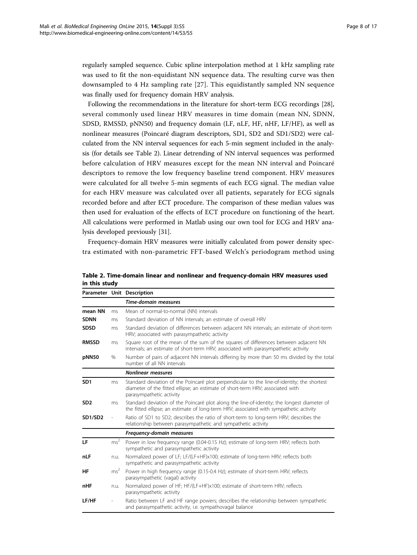regularly sampled sequence. Cubic spline interpolation method at 1 kHz sampling rate was used to fit the non-equidistant NN sequence data. The resulting curve was then downsampled to 4 Hz sampling rate [\[27\]](#page-15-0). This equidistantly sampled NN sequence was finally used for frequency domain HRV analysis.

Following the recommendations in the literature for short-term ECG recordings [[28](#page-15-0)], several commonly used linear HRV measures in time domain (mean NN, SDNN, SDSD, RMSSD, pNN50) and frequency domain (LF, nLF, HF, nHF, LF/HF), as well as nonlinear measures (Poincaré diagram descriptors, SD1, SD2 and SD1/SD2) were calculated from the NN interval sequences for each 5-min segment included in the analysis (for details see Table 2). Linear detrending of NN interval sequences was performed before calculation of HRV measures except for the mean NN interval and Poincaré descriptors to remove the low frequency baseline trend component. HRV measures were calculated for all twelve 5-min segments of each ECG signal. The median value for each HRV measure was calculated over all patients, separately for ECG signals recorded before and after ECT procedure. The comparison of these median values was then used for evaluation of the effects of ECT procedure on functioning of the heart. All calculations were performed in Matlab using our own tool for ECG and HRV analysis developed previously [[31](#page-15-0)].

Frequency-domain HRV measures were initially calculated from power density spectra estimated with non-parametric FFT-based Welch's periodogram method using

|                                                                                                                                                                                                                |                 | Parameter Unit Description                                                                                                                                                                                |  |  |
|----------------------------------------------------------------------------------------------------------------------------------------------------------------------------------------------------------------|-----------------|-----------------------------------------------------------------------------------------------------------------------------------------------------------------------------------------------------------|--|--|
|                                                                                                                                                                                                                |                 | Time-domain measures                                                                                                                                                                                      |  |  |
| mean NN                                                                                                                                                                                                        | ms              | Mean of normal-to-normal (NN) intervals                                                                                                                                                                   |  |  |
| <b>SDNN</b>                                                                                                                                                                                                    | ms              | Standard deviation of NN intervals: an estimate of overall HRV                                                                                                                                            |  |  |
| <b>SDSD</b>                                                                                                                                                                                                    | ms              | Standard deviation of differences between adjacent NN intervals; an estimate of short-term<br>HRV; associated with parasympathetic activity                                                               |  |  |
| <b>RMSSD</b><br>Square root of the mean of the sum of the squares of differences between adjacent NN<br>ms<br>intervals; an estimate of short-term HRV; associated with parasympathetic activity               |                 |                                                                                                                                                                                                           |  |  |
| pNN50                                                                                                                                                                                                          | %               | Number of pairs of adjacent NN intervals differing by more than 50 ms divided by the total<br>number of all NN intervals                                                                                  |  |  |
|                                                                                                                                                                                                                |                 | <b>Nonlinear measures</b>                                                                                                                                                                                 |  |  |
| SD <sub>1</sub>                                                                                                                                                                                                | ms              | Standard deviation of the Poincaré plot perpendicular to the line-of-identity; the shortest<br>diameter of the fitted ellipse; an estimate of short-term HRV; associated with<br>parasympathetic activity |  |  |
| Standard deviation of the Poincaré plot along the line-of-identity; the longest diameter of<br>SD <sub>2</sub><br>ms<br>the fitted ellipse; an estimate of long-term HRV; associated with sympathetic activity |                 |                                                                                                                                                                                                           |  |  |
| SD1/SD2                                                                                                                                                                                                        |                 | Ratio of SD1 to SD2; describes the ratio of short-term to long-term HRV; describes the<br>relationship between parasympathetic and sympathetic activity                                                   |  |  |
|                                                                                                                                                                                                                |                 | Frequency-domain measures                                                                                                                                                                                 |  |  |
| LF                                                                                                                                                                                                             | ms <sup>2</sup> | Power in low frequency range (0.04-0.15 Hz); estimate of long-term HRV; reflects both<br>sympathetic and parasympathetic activity                                                                         |  |  |
| nLF                                                                                                                                                                                                            | n.u.            | Normalized power of LF; LF/(LF+HF)x100; estimate of long-term HRV; reflects both<br>sympathetic and parasympathetic activity                                                                              |  |  |
| HF                                                                                                                                                                                                             | ms <sup>2</sup> | Power in high frequency range (0.15-0.4 Hz); estimate of short-term HRV; reflects<br>parasympathetic (vagal) activity                                                                                     |  |  |
| nHF                                                                                                                                                                                                            | n.u.            | Normalized power of HF; HF/(LF+HF)x100; estimate of short-term HRV; reflects<br>parasympathetic activity                                                                                                  |  |  |
| LF/HF                                                                                                                                                                                                          |                 | Ratio between LF and HF range powers; describes the relationship between sympathetic<br>and parasympathetic activity, i.e. sympathovagal balance                                                          |  |  |

Table 2. Time-domain linear and nonlinear and frequency-domain HRV measures used in this study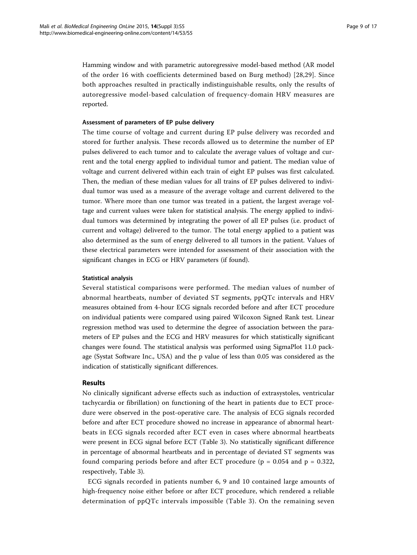Hamming window and with parametric autoregressive model-based method (AR model of the order 16 with coefficients determined based on Burg method) [[28,29\]](#page-15-0). Since both approaches resulted in practically indistinguishable results, only the results of autoregressive model-based calculation of frequency-domain HRV measures are reported.

# Assessment of parameters of EP pulse delivery

The time course of voltage and current during EP pulse delivery was recorded and stored for further analysis. These records allowed us to determine the number of EP pulses delivered to each tumor and to calculate the average values of voltage and current and the total energy applied to individual tumor and patient. The median value of voltage and current delivered within each train of eight EP pulses was first calculated. Then, the median of these median values for all trains of EP pulses delivered to individual tumor was used as a measure of the average voltage and current delivered to the tumor. Where more than one tumor was treated in a patient, the largest average voltage and current values were taken for statistical analysis. The energy applied to individual tumors was determined by integrating the power of all EP pulses (i.e. product of current and voltage) delivered to the tumor. The total energy applied to a patient was also determined as the sum of energy delivered to all tumors in the patient. Values of these electrical parameters were intended for assessment of their association with the significant changes in ECG or HRV parameters (if found).

# Statistical analysis

Several statistical comparisons were performed. The median values of number of abnormal heartbeats, number of deviated ST segments, ppQTc intervals and HRV measures obtained from 4-hour ECG signals recorded before and after ECT procedure on individual patients were compared using paired Wilcoxon Signed Rank test. Linear regression method was used to determine the degree of association between the parameters of EP pulses and the ECG and HRV measures for which statistically significant changes were found. The statistical analysis was performed using SigmaPlot 11.0 package (Systat Software Inc., USA) and the p value of less than 0.05 was considered as the indication of statistically significant differences.

# Results

No clinically significant adverse effects such as induction of extrasystoles, ventricular tachycardia or fibrillation) on functioning of the heart in patients due to ECT procedure were observed in the post-operative care. The analysis of ECG signals recorded before and after ECT procedure showed no increase in appearance of abnormal heartbeats in ECG signals recorded after ECT even in cases where abnormal heartbeats were present in ECG signal before ECT (Table [3\)](#page-9-0). No statistically significant difference in percentage of abnormal heartbeats and in percentage of deviated ST segments was found comparing periods before and after ECT procedure ( $p = 0.054$  and  $p = 0.322$ , respectively, Table [3](#page-9-0)).

ECG signals recorded in patients number 6, 9 and 10 contained large amounts of high-frequency noise either before or after ECT procedure, which rendered a reliable determination of ppQTc intervals impossible (Table [3](#page-9-0)). On the remaining seven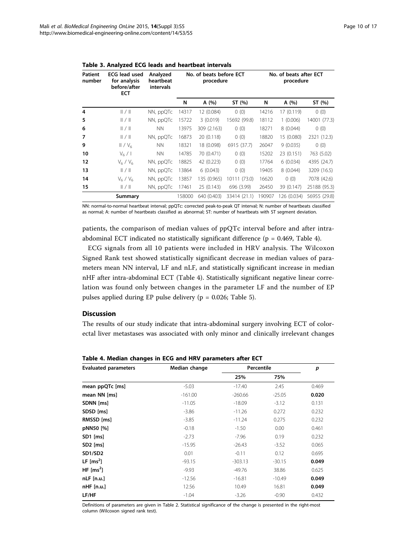| <b>Patient</b><br>number | <b>ECG</b> lead used<br>for analysis<br>before/after<br><b>ECT</b> | Analyzed<br>heartbeat<br>intervals | No. of beats before ECT<br>procedure |             | No. of beats after ECT<br>procedure |        |             |              |
|--------------------------|--------------------------------------------------------------------|------------------------------------|--------------------------------------|-------------|-------------------------------------|--------|-------------|--------------|
|                          |                                                                    |                                    | N                                    | A (%)       | ST (%)                              | N      | A (%)       | ST (%)       |
| 4                        | /                                                                  | NN, ppQTc                          | 14317                                | 12 (0.084)  | 0(0)                                | 14216  | 17 (0.119)  | 0(0)         |
| 5                        | /                                                                  | NN, ppQTc                          | 15722                                | 3(0.019)    | 15692 (99.8)                        | 18112  | 1(0.006)    | 14001 (77.3) |
| 6                        | /                                                                  | <b>NN</b>                          | 13975                                | 309 (2.163) | 0(0)                                | 18271  | 8(0.044)    | 0(0)         |
| 7                        | /                                                                  | NN, ppQTc                          | 16873                                | 20 (0.118)  | 0(0)                                | 18820  | 15 (0.080)  | 2321 (12.3)  |
| 9                        | II/V <sub>6</sub>                                                  | <b>NN</b>                          | 18321                                | 18 (0.098)  | 6915 (37.7)                         | 26047  | 9(0.035)    | 0(0)         |
| 10                       | $V_6/1$                                                            | <b>NN</b>                          | 14785                                | 70 (0.471)  | 0(0)                                | 15202  | 23 (0.151)  | 763 (5.02)   |
| 12                       | $V_6/V_6$                                                          | NN, ppQTc                          | 18825                                | 42 (0.223)  | 0(0)                                | 17764  | 6(0.034)    | 4395 (24.7)  |
| 13                       | /                                                                  | NN, ppQTc                          | 13864                                | 6(0.043)    | 0(0)                                | 19405  | 8(0.044)    | 3209 (16.5)  |
| 14                       | $V_6/V_6$                                                          | NN, ppQTc                          | 13857                                | 135 (0.965) | 10111 (73.0)                        | 16620  | 0(0)        | 7078 (42.6)  |
| 15                       | /                                                                  | NN, ppQTc                          | 17461                                | 25 (0.143)  | 696 (3.99)                          | 26450  | 39 (0.147)  | 25188 (95.3) |
|                          | Summary                                                            |                                    | 158000                               | 640 (0.403) | 33414 (21.1)                        | 190907 | 126 (0.034) | 56955 (29.8) |

<span id="page-9-0"></span>Table 3. Analyzed ECG leads and heartbeat intervals

NN: normal-to-normal heartbeat interval; ppQTc: corrected peak-to-peak QT interval; N: number of heartbeats classified as normal; A: number of heartbeats classified as abnormal; ST: number of heartbeats with ST segment deviation.

patients, the comparison of median values of ppQTc interval before and after intraabdominal ECT indicated no statistically significant difference ( $p = 0.469$ , Table 4).

ECG signals from all 10 patients were included in HRV analysis. The Wilcoxon Signed Rank test showed statistically significant decrease in median values of parameters mean NN interval, LF and nLF, and statistically significant increase in median nHF after intra-abdominal ECT (Table 4). Statistically significant negative linear correlation was found only between changes in the parameter LF and the number of EP pulses applied during EP pulse delivery (p = 0.026; Table [5](#page-10-0)).

# Discussion

The results of our study indicate that intra-abdominal surgery involving ECT of colorectal liver metastases was associated with only minor and clinically irrelevant changes

| <b>Evaluated parameters</b> | Median change | Percentile | p        |       |
|-----------------------------|---------------|------------|----------|-------|
|                             |               | 25%        | 75%      |       |
| mean ppQTc [ms]             | $-5.03$       | $-17.40$   | 2.45     | 0.469 |
| mean NN [ms]                | $-161.00$     | $-260.66$  | $-25.05$ | 0.020 |
| SDNN [ms]                   | $-11.05$      | $-18.09$   | $-3.12$  | 0.131 |
| SDSD [ms]                   | $-3.86$       | $-11.26$   | 0.272    | 0.232 |
| RMSSD [ms]                  | $-3.85$       | $-11.24$   | 0.275    | 0.232 |
| pNN50 [%]                   | $-0.18$       | $-1.50$    | 0.00     | 0.461 |
| SD1 [ms]                    | $-2.73$       | $-7.96$    | 0.19     | 0.232 |
| SD <sub>2</sub> [ms]        | $-15.95$      | $-26.43$   | $-3.52$  | 0.065 |
| SD1/SD2                     | 0.01          | $-0.11$    | 0.12     | 0.695 |
| LF $\text{[ms}^2\text{]}$   | $-93.15$      | $-303.13$  | $-30.15$ | 0.049 |
| HF $\text{[ms}^2\text{]}$   | $-9.93$       | $-49.76$   | 38.86    | 0.625 |
| $nLF$ [n.u.]                | $-12.56$      | $-16.81$   | $-10.49$ | 0.049 |
| nHF [n.u.]                  | 12.56         | 10.49      | 16.81    | 0.049 |
| LF/HF                       | $-1.04$       | $-3.26$    | $-0.90$  | 0.432 |

Table 4. Median changes in ECG and HRV parameters after ECT

Definitions of parameters are given in Table 2. Statistical significance of the change is presented in the right-most column (Wilcoxon signed rank test).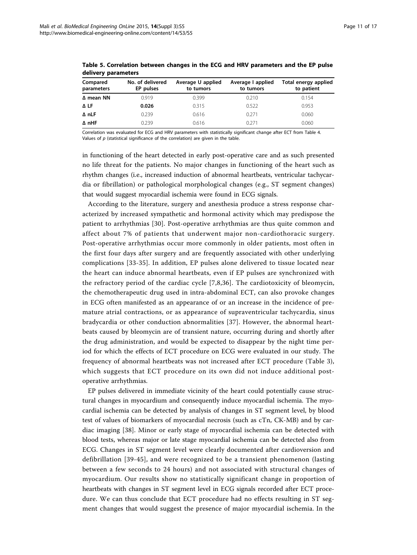| Compared<br>parameters | No. of delivered<br>EP pulses | Average U applied<br>to tumors | Average I applied<br>to tumors | Total energy applied<br>to patient |
|------------------------|-------------------------------|--------------------------------|--------------------------------|------------------------------------|
| ∆ mean NN              | 0.919                         | 0.399                          | 0.210                          | 0.154                              |
| ΔLF                    | 0.026                         | 0.315                          | 0.522                          | 0.953                              |
| Δ nLF                  | 0.239                         | 0.616                          | 0.271                          | 0.060                              |
| $\Delta$ nHF           | 0.239                         | 0.616                          | በ 271                          | 0.060                              |

<span id="page-10-0"></span>Table 5. Correlation between changes in the ECG and HRV parameters and the EP pulse delivery parameters

Correlation was evaluated for ECG and HRV parameters with statistically significant change after ECT from Table 4. Values of  $p$  (statistical significance of the correlation) are given in the table.

in functioning of the heart detected in early post-operative care and as such presented no life threat for the patients. No major changes in functioning of the heart such as rhythm changes (i.e., increased induction of abnormal heartbeats, ventricular tachycardia or fibrillation) or pathological morphological changes (e.g., ST segment changes) that would suggest myocardial ischemia were found in ECG signals.

According to the literature, surgery and anesthesia produce a stress response characterized by increased sympathetic and hormonal activity which may predispose the patient to arrhythmias [\[30](#page-15-0)]. Post-operative arrhythmias are thus quite common and affect about 7% of patients that underwent major non-cardiothoracic surgery. Post-operative arrhythmias occur more commonly in older patients, most often in the first four days after surgery and are frequently associated with other underlying complications [[33-35\]](#page-15-0). In addition, EP pulses alone delivered to tissue located near the heart can induce abnormal heartbeats, even if EP pulses are synchronized with the refractory period of the cardiac cycle [\[7](#page-14-0),[8](#page-14-0)[,36\]](#page-15-0). The cardiotoxicity of bleomycin, the chemotherapeutic drug used in intra-abdominal ECT, can also provoke changes in ECG often manifested as an appearance of or an increase in the incidence of premature atrial contractions, or as appearance of supraventricular tachycardia, sinus bradycardia or other conduction abnormalities [[37\]](#page-15-0). However, the abnormal heartbeats caused by bleomycin are of transient nature, occurring during and shortly after the drug administration, and would be expected to disappear by the night time period for which the effects of ECT procedure on ECG were evaluated in our study. The frequency of abnormal heartbeats was not increased after ECT procedure (Table [3](#page-9-0)), which suggests that ECT procedure on its own did not induce additional postoperative arrhythmias.

EP pulses delivered in immediate vicinity of the heart could potentially cause structural changes in myocardium and consequently induce myocardial ischemia. The myocardial ischemia can be detected by analysis of changes in ST segment level, by blood test of values of biomarkers of myocardial necrosis (such as cTn, CK-MB) and by cardiac imaging [\[38](#page-15-0)]. Minor or early stage of myocardial ischemia can be detected with blood tests, whereas major or late stage myocardial ischemia can be detected also from ECG. Changes in ST segment level were clearly documented after cardioversion and defibrillation [[39](#page-15-0)-[45](#page-15-0)], and were recognized to be a transient phenomenon (lasting between a few seconds to 24 hours) and not associated with structural changes of myocardium. Our results show no statistically significant change in proportion of heartbeats with changes in ST segment level in ECG signals recorded after ECT procedure. We can thus conclude that ECT procedure had no effects resulting in ST segment changes that would suggest the presence of major myocardial ischemia. In the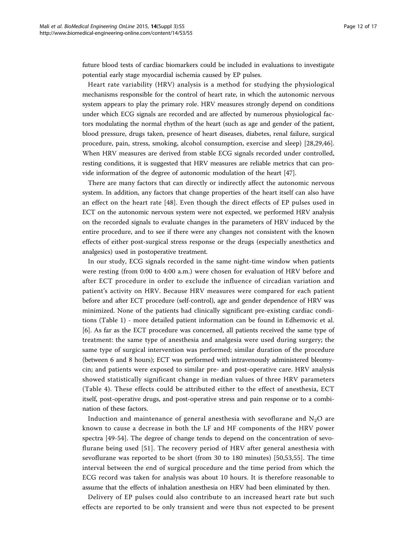future blood tests of cardiac biomarkers could be included in evaluations to investigate potential early stage myocardial ischemia caused by EP pulses.

Heart rate variability (HRV) analysis is a method for studying the physiological mechanisms responsible for the control of heart rate, in which the autonomic nervous system appears to play the primary role. HRV measures strongly depend on conditions under which ECG signals are recorded and are affected by numerous physiological factors modulating the normal rhythm of the heart (such as age and gender of the patient, blood pressure, drugs taken, presence of heart diseases, diabetes, renal failure, surgical procedure, pain, stress, smoking, alcohol consumption, exercise and sleep) [[28,29,46](#page-15-0)]. When HRV measures are derived from stable ECG signals recorded under controlled, resting conditions, it is suggested that HRV measures are reliable metrics that can provide information of the degree of autonomic modulation of the heart [\[47](#page-15-0)].

There are many factors that can directly or indirectly affect the autonomic nervous system. In addition, any factors that change properties of the heart itself can also have an effect on the heart rate [[48](#page-15-0)]. Even though the direct effects of EP pulses used in ECT on the autonomic nervous system were not expected, we performed HRV analysis on the recorded signals to evaluate changes in the parameters of HRV induced by the entire procedure, and to see if there were any changes not consistent with the known effects of either post-surgical stress response or the drugs (especially anesthetics and analgesics) used in postoperative treatment.

In our study, ECG signals recorded in the same night-time window when patients were resting (from 0:00 to 4:00 a.m.) were chosen for evaluation of HRV before and after ECT procedure in order to exclude the influence of circadian variation and patient's activity on HRV. Because HRV measures were compared for each patient before and after ECT procedure (self-control), age and gender dependence of HRV was minimized. None of the patients had clinically significant pre-existing cardiac conditions (Table [1\)](#page-3-0) - more detailed patient information can be found in Edhemovic et al. [[6\]](#page-14-0). As far as the ECT procedure was concerned, all patients received the same type of treatment: the same type of anesthesia and analgesia were used during surgery; the same type of surgical intervention was performed; similar duration of the procedure (between 6 and 8 hours); ECT was performed with intravenously administered bleomycin; and patients were exposed to similar pre- and post-operative care. HRV analysis showed statistically significant change in median values of three HRV parameters (Table [4](#page-9-0)). These effects could be attributed either to the effect of anesthesia, ECT itself, post-operative drugs, and post-operative stress and pain response or to a combination of these factors.

Induction and maintenance of general anesthesia with sevoflurane and  $N_2O$  are known to cause a decrease in both the LF and HF components of the HRV power spectra [[49-54\]](#page-15-0). The degree of change tends to depend on the concentration of sevoflurane being used [\[51](#page-15-0)]. The recovery period of HRV after general anesthesia with sevoflurane was reported to be short (from 30 to 180 minutes) [\[50,53,55\]](#page-15-0). The time interval between the end of surgical procedure and the time period from which the ECG record was taken for analysis was about 10 hours. It is therefore reasonable to assume that the effects of inhalation anesthesia on HRV had been eliminated by then.

Delivery of EP pulses could also contribute to an increased heart rate but such effects are reported to be only transient and were thus not expected to be present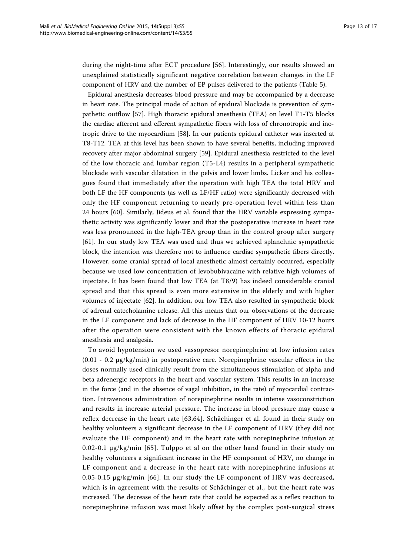during the night-time after ECT procedure [[56](#page-15-0)]. Interestingly, our results showed an unexplained statistically significant negative correlation between changes in the LF component of HRV and the number of EP pulses delivered to the patients (Table [5\)](#page-10-0).

Epidural anesthesia decreases blood pressure and may be accompanied by a decrease in heart rate. The principal mode of action of epidural blockade is prevention of sympathetic outflow [[57\]](#page-16-0). High thoracic epidural anesthesia (TEA) on level T1-T5 blocks the cardiac afferent and efferent sympathetic fibers with loss of chronotropic and inotropic drive to the myocardium [\[58](#page-16-0)]. In our patients epidural catheter was inserted at T8-T12. TEA at this level has been shown to have several benefits, including improved recovery after major abdominal surgery [[59\]](#page-16-0). Epidural anesthesia restricted to the level of the low thoracic and lumbar region (T5-L4) results in a peripheral sympathetic blockade with vascular dilatation in the pelvis and lower limbs. Licker and his colleagues found that immediately after the operation with high TEA the total HRV and both LF the HF components (as well as LF/HF ratio) were significantly decreased with only the HF component returning to nearly pre-operation level within less than 24 hours [[60\]](#page-16-0). Similarly, Jideus et al. found that the HRV variable expressing sympathetic activity was significantly lower and that the postoperative increase in heart rate was less pronounced in the high-TEA group than in the control group after surgery [[61](#page-16-0)]. In our study low TEA was used and thus we achieved splanchnic sympathetic block, the intention was therefore not to influence cardiac sympathetic fibers directly. However, some cranial spread of local anesthetic almost certainly occurred, especially because we used low concentration of levobubivacaine with relative high volumes of injectate. It has been found that low TEA (at T8/9) has indeed considerable cranial spread and that this spread is even more extensive in the elderly and with higher volumes of injectate [[62\]](#page-16-0). In addition, our low TEA also resulted in sympathetic block of adrenal catecholamine release. All this means that our observations of the decrease in the LF component and lack of decrease in the HF component of HRV 10-12 hours after the operation were consistent with the known effects of thoracic epidural anesthesia and analgesia.

To avoid hypotension we used vassopresor norepinephrine at low infusion rates  $(0.01 - 0.2 \mu g/kg/min)$  in postoperative care. Norepinephrine vascular effects in the doses normally used clinically result from the simultaneous stimulation of alpha and beta adrenergic receptors in the heart and vascular system. This results in an increase in the force (and in the absence of vagal inhibition, in the rate) of myocardial contraction. Intravenous administration of norepinephrine results in intense vasoconstriction and results in increase arterial pressure. The increase in blood pressure may cause a reflex decrease in the heart rate [\[63,64](#page-16-0)]. Schächinger et al. found in their study on healthy volunteers a significant decrease in the LF component of HRV (they did not evaluate the HF component) and in the heart rate with norepinephrine infusion at 0.02-0.1 µg/kg/min [[65](#page-16-0)]. Tulppo et al on the other hand found in their study on healthy volunteers a significant increase in the HF component of HRV, no change in LF component and a decrease in the heart rate with norepinephrine infusions at 0.05-0.15 µg/kg/min [[66](#page-16-0)]. In our study the LF component of HRV was decreased, which is in agreement with the results of Schächinger et al., but the heart rate was increased. The decrease of the heart rate that could be expected as a reflex reaction to norepinephrine infusion was most likely offset by the complex post-surgical stress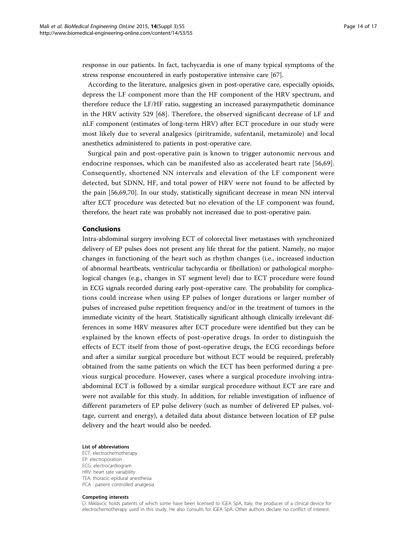response in our patients. In fact, tachycardia is one of many typical symptoms of the stress response encountered in early postoperative intensive care [[67\]](#page-16-0).

According to the literature, analgesics given in post-operative care, especially opioids, depress the LF component more than the HF component of the HRV spectrum, and therefore reduce the LF/HF ratio, suggesting an increased parasympathetic dominance in the HRV activity 529 [[68](#page-16-0)]. Therefore, the observed significant decrease of LF and nLF component (estimates of long-term HRV) after ECT procedure in our study were most likely due to several analgesics (piritramide, sufentanil, metamizole) and local anesthetics administered to patients in post-operative care.

Surgical pain and post-operative pain is known to trigger autonomic nervous and endocrine responses, which can be manifested also as accelerated heart rate [[56,](#page-15-0)[69](#page-16-0)]. Consequently, shortened NN intervals and elevation of the LF component were detected, but SDNN, HF, and total power of HRV were not found to be affected by the pain [\[56](#page-15-0)[,69,70](#page-16-0)]. In our study, statistically significant decrease in mean NN interval after ECT procedure was detected but no elevation of the LF component was found, therefore, the heart rate was probably not increased due to post-operative pain.

# Conclusions

Intra-abdominal surgery involving ECT of colorectal liver metastases with synchronized delivery of EP pulses does not present any life threat for the patient. Namely, no major changes in functioning of the heart such as rhythm changes (i.e., increased induction of abnormal heartbeats, ventricular tachycardia or fibrillation) or pathological morphological changes (e.g., changes in ST segment level) due to ECT procedure were found in ECG signals recorded during early post-operative care. The probability for complications could increase when using EP pulses of longer durations or larger number of pulses of increased pulse repetition frequency and/or in the treatment of tumors in the immediate vicinity of the heart. Statistically significant although clinically irrelevant differences in some HRV measures after ECT procedure were identified but they can be explained by the known effects of post-operative drugs. In order to distinguish the effects of ECT itself from those of post-operative drugs, the ECG recordings before and after a similar surgical procedure but without ECT would be required, preferably obtained from the same patients on which the ECT has been performed during a previous surgical procedure. However, cases where a surgical procedure involving intraabdominal ECT is followed by a similar surgical procedure without ECT are rare and were not available for this study. In addition, for reliable investigation of influence of different parameters of EP pulse delivery (such as number of delivered EP pulses, voltage, current and energy), a detailed data about distance between location of EP pulse delivery and the heart would also be needed.

#### List of abbreviations

ECT: electrochemotherapy EP: electroporation ECG: electrocardiogram HRV: heart rate variability TEA: thoracic epidural anesthesia PCA : patient controlled analgesia

#### Competing interests

D. Miklavcic holds patents of which some have been licensed to IGEA SpA, Italy, the producer of a clinical device for electrochemotherapy used in this study. He also consults for IGEA SpA. Other authors declare no conflict of interest.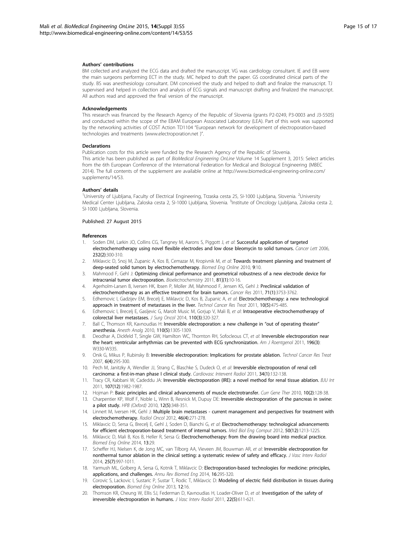#### <span id="page-14-0"></span>Authors' contributions

BM collected and analyzed the ECG data and drafted the manuscript. VG was cardiology consultant. IE and EB were the main surgeons performing ECT in the study. MC helped to draft the paper. GS coordinated clinical parts of the study. BS was anesthesiology consultant. DM conceived the study and helped to draft and finalize the manuscript. TJ supervised and helped in collection and analysis of ECG signals and manuscript drafting and finalized the manuscript. All authors read and approved the final version of the manuscript.

#### Acknowledgements

This research was financed by the Research Agency of the Republic of Slovenia (grants P2-0249, P3-0003 and J3-5505) and conducted within the scope of the EBAM European Associated Laboratory (LEA). Part of this work was supported by the networking activities of COST Action TD1104 "European network for development of electroporation-based technologies and treatments [\(www.electroporation.net](www.itksnap.org) )".

#### Declarations

Publication costs for this article were funded by the Research Agency of the Republic of Slovenia. This article has been published as part of BioMedical Engineering OnLine Volume 14 Supplement 3, 2015: Select articles from the 6th European Conference of the International Federation for Medical and Biological Engineering (MBEC 2014). The full contents of the supplement are available online at [http://www.biomedical-engineering-online.com/](www.electroporation.net) [supplements/14/S3](www.electroporation.net).

#### Authors' details <sup>1</sup>

University of Ljubljana, Faculty of Electrical Engineering, Trzaska cesta 25, SI-1000 Ljubljana, Slovenia. <sup>2</sup>University Medical Center Ljubljana, Zaloska cesta 2, SI-1000 Ljubljana, Slovenia. <sup>3</sup>Institute of Oncology Ljubljana, Zaloska cesta 2 SI-1000 Ljubljana, Slovenia.

#### Published: 27 August 2015

#### References

- 1. Soden DM, Larkin JO, Collins CG, Tangney M, Aarons S, Piggott J, et al: Successful application of targeted electrochemotherapy using novel flexible electrodes and low dose bleomycin to solid tumours. Cancer Lett 2006, 232(2):300-310.
- 2. Miklavcic D, Snoj M, Zupanic A, Kos B, Cemazar M, Kropivnik M, et al: Towards treatment planning and treatment of deep-seated solid tumors by electrochemotherapy. Biomed Eng Online 2010, 9:10.
- 3. Mahmood F, Gehl J: Optimizing clinical performance and geometrical robustness of a new electrode device for intracranial tumor electroporation. Bioelectrochemistry 2011, 81](1):10-16.
- 4. Agerholm-Larsen B, Iversen HK, Ibsen P, Moller JM, Mahmood F, Jensen KS, Gehl J: Preclinical validation of electrochemotherapy as an effective treatment for brain tumors. Cancer Res 2011, 71(1):3753-3762.
- 5. Edhemovic I, Gadzijev EM, Brecelj E, Miklavcic D, Kos B, Zupanic A, et al: Electrochemotherapy: a new technological approach in treatment of metastases in the liver. Technol Cancer Res Treat 2011, 10(5):475-485.
- 6. Edhemovic I, Brecelj E, Gasljevic G, Marolt Music M, Gorjup V, Mali B, et al: Intraoperative electrochemotherapy of colorectal liver metastases. J Surg Oncol 2014, 110(3):320-327.
- 7. Ball C, Thomson KR, Kavnoudias H: Irreversible electroporation: a new challenge in "out of operating theater" anesthesia. Anesth Analg 2010, 110(5):1305-1309.
- 8. Deodhar A, Dickfeld T, Single GW, Hamilton WC, Thornton RH, Sofocleous CT, et al: Irreversible electroporation near the heart: ventricular arrhythmias can be prevented with ECG synchronization. Am J Roentgenol 2011, 196(3): W330-W335.
- 9. Onik G, Mikus P, Rubinsky B: Irreversible electroporation: Implications for prostate ablation. Technol Cancer Res Treat 2007, 6(4):295-300.
- 10. Pech M, Janitzky A, Wendler JJ, Strang C, Blaschke S, Dudeck O, et al: Irreversible electroporation of renal cell carcinoma: a first-in-man phase I clinical study. Cardiovasc Intervent Radiol 2011, 34(1):132-138.
- 11. Tracy CR, Kabbani W, Cadeddu JA: Irreversible electroporation (IRE): a novel method for renal tissue ablation. BJU Int 2011, 107(12):1982-1987.
- 12. Hojman P: Basic principles and clinical advancements of muscle electrotransfer. Curr Gene Ther 2010, 10(2):128-38.
- 13. Charpentier KP, Wolf F, Noble L, Winn B, Resnick M, Dupuy DE: Irreversible electroporation of the pancreas in swine: a pilot study. HPB (Oxford) 2010, 12(5):348-351.
- 14. Linnert M, Iversen HK, Gehl J: Multiple brain metastases current management and perspectives for treatment with electrochemotherapy. Radiol Oncol 2012, 46(4):271-278.
- 15. Miklavcic D, Sersa G, Brecelj E, Gehl J, Soden D, Bianchi G, et al: Electrochemotherapy: technological advancements for efficient electroporation-based treatment of internal tumors. Med Biol Eng Comput 2012, 50(12):1213-1225.
- 16. Miklavcic D, Mali B, Kos B, Heller R, Sersa G: Electrochemotherapy: from the drawing board into medical practice. Biomed Eng Online 2014, 13:29.
- 17. Scheffer HJ, Nielsen K, de Jong MC, van Tilborg AA, Vieveen JM, Bouwman AR, et al: Irreversible electroporation for nonthermal tumor ablation in the clinical setting: a systematic review of safety and efficacy. J Vasc Interv Radiol 2014, 25(7):997-1011.
- 18. Yarmush ML, Golberg A, Sersa G, Kotnik T, Miklavcic D: Electroporation-based technologies for medicine: principles, applications, and challenges. Annu Rev Biomed Eng 2014, 16:295-320.
- 19. Corovic S, Lackovic I, Sustaric P, Sustar T, Rodic T, Miklavcic D: Modeling of electric field distribution in tissues during electroporation. Biomed Eng Online 2013, 12:16.
- 20. Thomson KR, Cheung W, Ellis SJ, Federman D, Kavnoudias H, Loader-Oliver D, et al: Investigation of the safety of irreversible electroporation in humans. J Vasc Interv Radiol 2011, 22(5):611-621.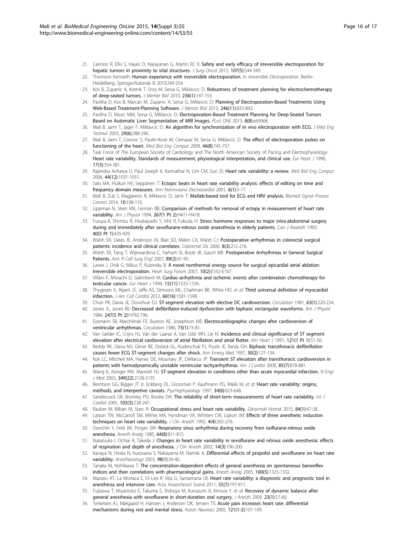- <span id="page-15-0"></span>21. Cannon R, Ellis S, Hayes D, Narayanan G, Martin RC II: Safety and early efficacy of irreversible electroporation for hepatic tumors in proximity to vital structures. J Surg Oncol 2013, 107(5):544-549.
- 22. Thomson Kenneth: Human experience with irreversible electroporation. In Irreversible Electroporation. Berlin-Heidelberg, Springer;Rubinski B 2010:249-254.
- 23. Kos B, Zupanic A, Kotnik T, Snoj M, Sersa G, Miklavcic D: Robustness of treatment planning for electrochemotherapy of deep-seated tumors. J Membr Biol 2010, 236(1):147-153.
- 24. Pavliha D, Kos B, Marcan M, Zupanic A, Sersa G, Miklavcic D: Planning of Electroporation-Based Treatments Using Web-Based Treatment-Planning Software. J Membr Biol 2013, 246(11):833-842.
- 25. Pavliha D, Music MM, Sersa G, Miklavcic D: Electroporation-Based Treatment Planning for Deep-Seated Tumors Based on Automatic Liver Segmentation of MRI Images. PLoS ONE 2013, 8(8):e69068.
- 26. Mali B, Jarm T, Jager F, Miklavcic D: An algorithm for synchronization of in vivo electroporation with ECG. J Med Eng Technol 2005, 29(6):288-296.
- 27. Mali B, Jarm T, Corovic S, Paulin-Kosir M, Cemazar M, Sersa G, Miklavcic D: The effect of electroporation pulses on functioning of the heart. Med Biol Eng Comput 2008, 46(8):745-757.
- 28. Task Force of The European Society of Cardiology and The North American Society of Pacing and Electrophysiology: Heart rate variability. Standards of measurement, physiological interpretation, and clinical use. Eur Heart J 1996, 17(3):354-381.
- 29. Rajendra Acharya U, Paul Joseph K, Kannathal N, Lim CM, Suri JS: Heart rate variability: a review. Med Biol Eng Comput 2006, 44(12):1031-1051.
- 30. Salo MA, Huikuri HV, Seppänen T: Ectopic beats in heart rate variability analysis: effects of editing on time and frequency domain measures. Ann Noninvasive Electrocardiol 2001, 6(1):5-17
- 31. Mali B, Zulj S, Magjarevic R, Miklavcic D, Jarm T: Matlab-based tool for ECG and HRV analysis. Biomed Signal Process Control 2014, 10:108-116.
- 32. Lippman N, Stein KM, Lerman BB: Comparison of methods for removal of ectopy in measurement of heart rate variability. Am J Physiol 1994, 267(1 Pt 2): H411-H418.
- 33. Furuya K, Shimizu R, Hirabayashi Y, Ishii R, Fukuda H: Stress hormone responses to major intra-abdominal surgery during and immediately after sevoflurane-nitrous oxide anaesthesia in elderly patients. Can J Anaesth 1993, 40(5 Pt 1):435-439.
- 34. Walsh SR, Oates JE, Anderson JA, Blair SD, Makin CA, Walsh CJ: Postoperative arrhythmias in colorectal surgical patients: incidence and clinical correlates. Colorectal Dis 2006, 8(3):212-216.
- 35. Walsh SR, Tang T, Wijewardena C, Yarham SI, Boyle JR, Gaunt ME: Postoperative Arrhythmias in General Surgical Patients. Ann R Coll Surg Engl 2007, 89(2):91-95.
- 36. Lavee J, Onik G, Mikus P, Rubinsky B: A novel nonthermal energy source for surgical epicardial atrial ablation: Irreversible electroporation. Heart Surg Forum 2007, 10(2):E162-E167.
- 37. Villani F, Misrachi D, Galimberti M: Cardiac-arrhythmia and ischemic events after combination chemotherapy for testicular cancer. Eur Heart J 1994, 15(11):1533-1536.
- 38. Thygesen K, Alpert JS, Jaffe AS, Simoons ML, Chaitman BR, White HD, et al: Third universal definition of myocardial infarction. J Am Coll Cardiol 2012, 60(16):1581-1598.
- 39. Chun PK, Davia JE, Donohue DJ: ST-segment elevation with elective DC cardioversion. Circulation 1981, 63(1):220-224.
- 40. Jones JL, Jones RE: Decreased defibrillator-induced dysfunction with biphasic rectangular waveforms. Am J Physiol 1984, 247(5 Pt 2):H792-796.
- Eysmann SB, Marchlinski FE, Buxton AE, Josephson ME: Electrocardiographic changes after cardioversion of ventricular arrhythmias. Circulation 1986, 73(1):73-81.
- 42. Van Gelder IC, Crijns HJ, Van der Laarse A, Van Gilst WH, Lie KI: Incidence and clinical significance of ST segment elevation after electrical cardioversion of atrial fibrillation and atrial flutter. Am Heart J 1991, 121(1 Pt 1):51-56.
- 43. Reddy RK, Gleva MJ, Gliner BE, Dolack GL, Kudenchuk PJ, Poole JE, Bardy GH: Biphasic transthoracic defibrillation causes fewer ECG ST-segment changes after shock. Ann Emerg Med 1997, 30(2):127-134.
- 44. Kok LC, Mitchell MA, Haines DE, Mounsey JP, DiMarco JP: Transient ST elevation after transthoracic cardioversion in patients with hemodynamically unstable ventricular tachyarrhythmia. Am J Cardiol 2000, 85(7):878-881.
- 45. Wang K, Asinger RW, Marriott HJ: ST-segment elevation in conditions other than acute myocardial infarction. N Engl J Med 2003, 349(22):2128-2135.
- 46. Berntson GG, Bigger JT Jr, Eckberg DL, Grossman P, Kaufmann PG, Malik M, et al: Heart rate variability: origins, methods, and interpretive caveats. Psychophysiology 1997, 34(6):623-648.
- 47. Sandercock GR, Bromley PD, Brodie DA: The reliability of short-term measurements of heart rate variability. Int J Cardiol 2005, 103(3):238-247.
- 48. Rauber M, Bilban M, Starc R: Occupational stress and heart rate variability. Zdravniski Vestnik 2015, 84(1):47-58.
- 49. Latson TW, McCarroll SM, Mirhej MA, Hyndman VA, Whitten CW, Lipton JM: Effects of three anesthetic induction techniques on heart rate variability. J Clin Anesth 1992, 4(4):265-276.
- 50. Donchin Y, Feld JM, Porges SW: Respiratory sinus arrhythmia during recovery from isoflurane-nitrous oxide anesthesia. Anesth Analg 1985, 64(8):811-815.
- 51. Nakatsuka I, Ochiai R, Takeda J: Changes in heart rate variability in sevoflurane and nitrous oxide anesthesia: effects of respiration and depth of anesthesia. J Clin Anesth 2002, 14(3):196-200.
- 52. Kanaya N, Hirata N, Kurosawa S, Nakayama M, Namiki A: Differential effects of propofol and sevoflurane on heart rate variability. Anesthesiology 2003, 98(1):34-40.
- 53. Tanaka M, Nishikawa T: The concentration-dependent effects of general anesthesia on spontaneous baroreflex indices and their correlations with pharmacological gains. Anesth Analg 2005, 100(5):1325-1332.
- 54. Mazzeo AT, La Monaca E, Di Leo R, Vita G, Santamaria LB: Heart rate variability: a diagnostic and prognostic tool in anesthesia and intensive care. Acta Anaesthesiol Scand 2011, 55(7):797-811.
- 55. Fujisawa T, Miyamoto E, Takuma S, Shibuya M, Kurozumi A, Kimura Y, et al: Recovery of dynamic balance after general anesthesia with sevoflurane in short-duration oral surgery. J Anesth 2009, 23(1):57-60.
- 56. Terkelsen AJ, Mølgaard H, Hansen J, Andersen OK, Jensen TS: Acute pain increases heart rate: differential mechanisms during rest and mental stress. Auton Neurosci 2005, 121(1-2):101-109.